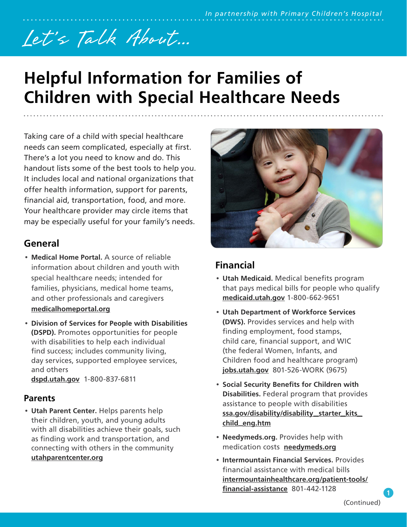# Let's Talk About...

# **Helpful Information for Families of Children with Special Healthcare Needs**

Taking care of a child with special healthcare needs can seem complicated, especially at first. There's a lot you need to know and do. This handout lists some of the best tools to help you. It includes local and national organizations that offer health information, support for parents, financial aid, transportation, food, and more. Your healthcare provider may circle items that may be especially useful for your family's needs.

# **General**

- **Medical Home Portal.** A source of reliable information about children and youth with special healthcare needs; intended for families, physicians, medical home teams, and other professionals and caregivers **[medicalhomeportal.org](https://www.medicalhomeportal.org/)**
- **Division of Services for People with Disabilities (DSPD).** Promotes opportunities for people with disabilities to help each individual find success; includes community living, day services, supported employee services, and others

**[dspd.utah.gov](http://dspd.utah.gov)** 1-800-837-6811

## **Parents**

• **Utah Parent Center.** Helps parents help their children, youth, and young adults with all disabilities achieve their goals, such as finding work and transportation, and connecting with others in the community **[utahparentcenter.org](http://utahparentcenter.org)**



# **Financial**

- **Utah Medicaid.** Medical benefits program that pays medical bills for people who qualify **[medicaid.utah.gov](http://medicaid.utah.gov)** 1-800-662-9651
- **Utah Department of Workforce Services (DWS).** Provides services and help with finding employment, food stamps, child care, financial support, and WIC (the federal Women, Infants, and Children food and healthcare program) **[jobs.utah.gov](http://jobs.utah.gov)** 801-526-WORK (9675)
- **Social Security Benefits for Children with Disabilities.** Federal program that provides assistance to people with disabilities **[ssa.gov/disability/disability](http://ssa.gov/disability/disability_starter_kits_child_eng.htm)**\_**starter**\_**kits**\_ **child**\_**[eng.htm](http://ssa.gov/disability/disability_starter_kits_child_eng.htm)**
- **Needymeds.org.** Provides help with medication costs **[needymeds.org](http://needymeds.org/)**
- **Intermountain Financial Services.** Provides financial assistance with medical bills **[intermountainhealthcare.org/patient-tools/](http://intermountainhealthcare.org/patient-tools/financial-assistance/) [financial-assistance](http://intermountainhealthcare.org/patient-tools/financial-assistance/)** 801-442-1128

**1**